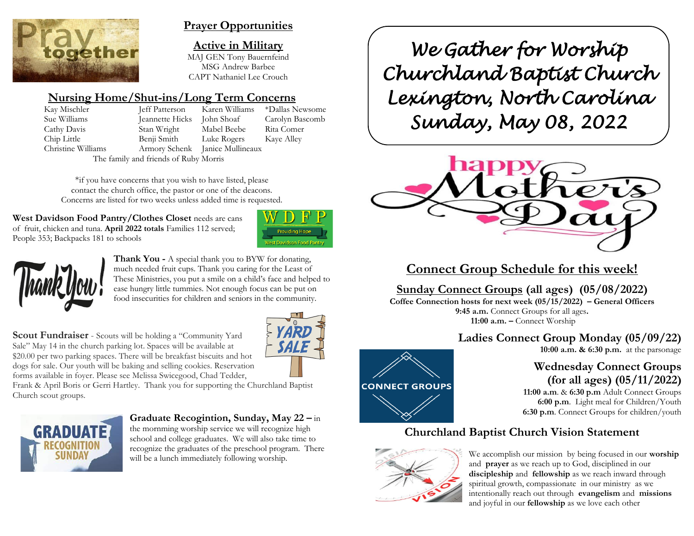

## **Prayer Opportunities**

**Active in Military** MAJ GEN Tony Bauernfeind MSG Andrew Barbee CAPT Nathaniel Lee Crouch

# **Nursing Home/Shut-ins/Long Term Concerns**

Kay Mischler Jeff Patterson Karen Williams \*Dallas Newsome Sue Williams Jeannette Hicks John Shoaf Carolyn Bascomb Cathy Davis Stan Wright Mabel Beebe Rita Comer Chip Little Benji Smith Luke Rogers Kaye Alley Christine Williams Armory Schenk Janice Mullineaux The family and friends of Ruby Morris

\*if you have concerns that you wish to have listed, please contact the church office, the pastor or one of the deacons. Concerns are listed for two weeks unless added time is requested.

West Davidson Food Pantry/Clothes Closet needs are cans of fruit, chicken and tuna. **April 2022 totals** Families 112 served; People 353; Backpacks 181 to schools





**Thank You -** A special thank you to BYW for donating, much needed fruit cups. Thank you caring for the Least of These Ministries, you put a smile on a child's face and helped to ease hungry little tummies. Not enough focus can be put on food insecurities for children and seniors in the community.

**Scout Fundraiser** - Scouts will be holding a "Community Yard Sale" May 14 in the church parking lot. Spaces will be available at \$20.00 per two parking spaces. There will be breakfast biscuits and hot dogs for sale. Our youth will be baking and selling cookies. Reservation forms available in foyer. Please see Melissa Swicegood, Chad Tedder,



Frank & April Boris or Gerri Hartley. Thank you for supporting the Churchland Baptist Church scout groups.



**Graduate Recogintion, Sunday, May 22 –** in the mornming worship service we will recognize high school and college graduates. We will also take time to recognize the graduates of the preschool program. There will be a lunch immediately following worship.

*We Gather for Worship Churchland Baptist Church Lexington, North Carolina Sunday, May 08, 2022* 



**Connect Group Schedule for this week!**

# **Sunday Connect Groups (all ages) (05/08/2022)**

**Coffee Connection hosts for next week (05/15/2022) – General Officers 9:45 a.m.** Connect Groups for all ages**. 11:00 a.m. –** Connect Worship

# **Ladies Connect Group Monday (05/09/22)**

**10:00 a.m. & 6:30 p.m.** at the parsonage

# **Wednesday Connect Groups (for all ages) (05/11/2022)**

 **11:00 a.m**. & **6:30 p.m** Adult Connect Groups  **6:00 p.m**. Light meal for Children/Youth **6:30 p.m**. Connect Groups for children/youth

# **Churchland Baptist Church Vision Statement**



**CONNECT GROUPS** 

We accomplish our mission by being focused in our **worship** and **prayer** as we reach up to God, disciplined in our **discipleship** and **fellowship** as we reach inward through spiritual growth, compassionate in our ministry as we intentionally reach out through **evangelism** and **missions** and joyful in our **fellowship** as we love each other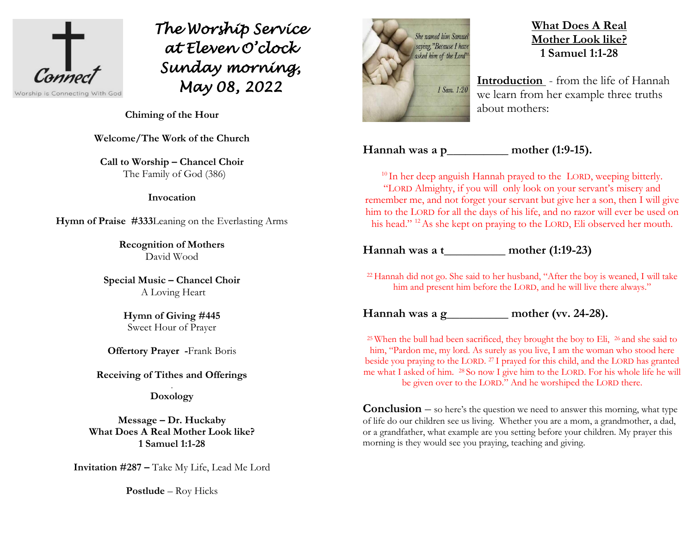

*The Worship Service at Eleven O'clock Sunday morning, May 08, 2022*

**Chiming of the Hour**

**Welcome/The Work of the Church**

**Call to Worship – Chancel Choir** The Family of God (386)

#### **Invocation**

**Hymn of Praise #333**Leaning on the Everlasting Arms

**Recognition of Mothers**  David Wood

**Special Music – Chancel Choir** A Loving Heart

> **Hymn of Giving #445** Sweet Hour of Prayer

**Offertory Prayer -**Frank Boris

**Receiving of Tithes and Offerings**

. **Doxology**

**Message – Dr. Huckaby What Does A Real Mother Look like? 1 Samuel 1:1-28**

**Invitation #287 –** Take My Life, Lead Me Lord

**Postlude** – Roy Hicks



# **What Does A Real Mother Look like? 1 Samuel 1:1-28**

**Introduction** - from the life of Hannah we learn from her example three truths about mothers:

**Hannah was a p\_\_\_\_\_\_\_\_\_\_ mother (1:9-15).**

<sup>10</sup> In her deep anguish Hannah prayed to the LORD, weeping bitterly. "LORD Almighty, if you will only look on your servant's misery and remember me, and not forget your servant but give her a son, then I will give him to the LORD for all the days of his life, and no razor will ever be used on his head." <sup>12</sup> As she kept on praying to the LORD, Eli observed her mouth.

### **Hannah was a t\_\_\_\_\_\_\_\_\_\_ mother (1:19-23)**

<sup>22</sup> Hannah did not go. She said to her husband, "After the boy is weaned, I will take him and present him before the LORD, and he will live there always."

**Hannah was a g\_\_\_\_\_\_\_\_\_\_ mother (vv. 24-28).**

<sup>25</sup> When the bull had been sacrificed, they brought the boy to Eli,  $\frac{26}{5}$  and she said to him, "Pardon me, my lord. As surely as you live, I am the woman who stood here beside you praying to the LORD. <sup>27</sup> I prayed for this child, and the LORD has granted me what I asked of him. <sup>28</sup> So now I give him to the LORD. For his whole life he will be given over to the LORD." And he worshiped the LORD there.

**Conclusion** – so here's the question we need to answer this morning, what type of life do our children see us living. Whether you are a mom, a grandmother, a dad, or a grandfather, what example are you setting before your children. My prayer this morning is they would see you praying, teaching and giving.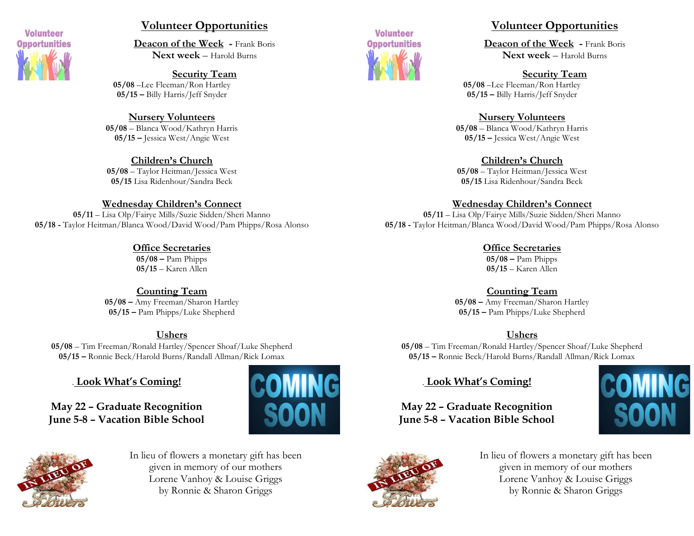

## **Volunteer Opportunities**

**Deacon of the Week -** Frank Boris **Next week** – Harold Burns

**Security Team 05/08** –Lee Fleeman/Ron Hartley **05/15 –** Billy Harris/Jeff Snyder

**Nursery Volunteers 05/08** – Blanca Wood/Kathryn Harris **05/15 –** Jessica West/Angie West

**Children's Church 05/08** – Taylor Heitman/Jessica West **05/15** Lisa Ridenhour/Sandra Beck

#### **Wednesday Children's Connect**

**05/11** – Lisa Olp/Fairye Mills/Suzie Sidden/Sheri Manno **05/18 -** Taylor Heitman/Blanca Wood/David Wood/Pam Phipps/Rosa Alonso

> **Office Secretaries 05/08 –** Pam Phipps **05/15** – Karen Allen

**Counting Team 05/08 –** Amy Freeman/Sharon Hartley **05/15 –** Pam Phipps/Luke Shepherd

### **Ushers**

**05/08** – Tim Freeman/Ronald Hartley/Spencer Shoaf/Luke Shepherd **05/15 –** Ronnie Beck/Harold Burns/Randall Allman/Rick Lomax

# . **Look What's Coming!**

**May 22 – Graduate Recognition June 5-8 – Vacation Bible School**





In lieu of flowers a monetary gift has been given in memory of our mothers Lorene Vanhoy & Louise Griggs by Ronnie & Sharon Griggs



## **Volunteer Opportunities**

**Deacon of the Week -** Frank Boris **Next week** – Harold Burns

#### **Security Team**

**05/08** –Lee Fleeman/Ron Hartley **05/15 –** Billy Harris/Jeff Snyder

#### **Nursery Volunteers**

**05/08** – Blanca Wood/Kathryn Harris **05/15 –** Jessica West/Angie West

#### **Children's Church**

**05/08** – Taylor Heitman/Jessica West **05/15** Lisa Ridenhour/Sandra Beck

#### **Wednesday Children's Connect**

**05/11** – Lisa Olp/Fairye Mills/Suzie Sidden/Sheri Manno **05/18 -** Taylor Heitman/Blanca Wood/David Wood/Pam Phipps/Rosa Alonso

> **Office Secretaries 05/08 –** Pam Phipps **05/15** – Karen Allen

#### **Counting Team**

**05/08 –** Amy Freeman/Sharon Hartley **05/15 –** Pam Phipps/Luke Shepherd

### **Ushers**

**05/08** – Tim Freeman/Ronald Hartley/Spencer Shoaf/Luke Shepherd **05/15 –** Ronnie Beck/Harold Burns/Randall Allman/Rick Lomax

# . **Look What's Coming!**

**May 22 – Graduate Recognition June 5-8 – Vacation Bible School**





In lieu of flowers a monetary gift has been given in memory of our mothers Lorene Vanhoy & Louise Griggs by Ronnie & Sharon Griggs